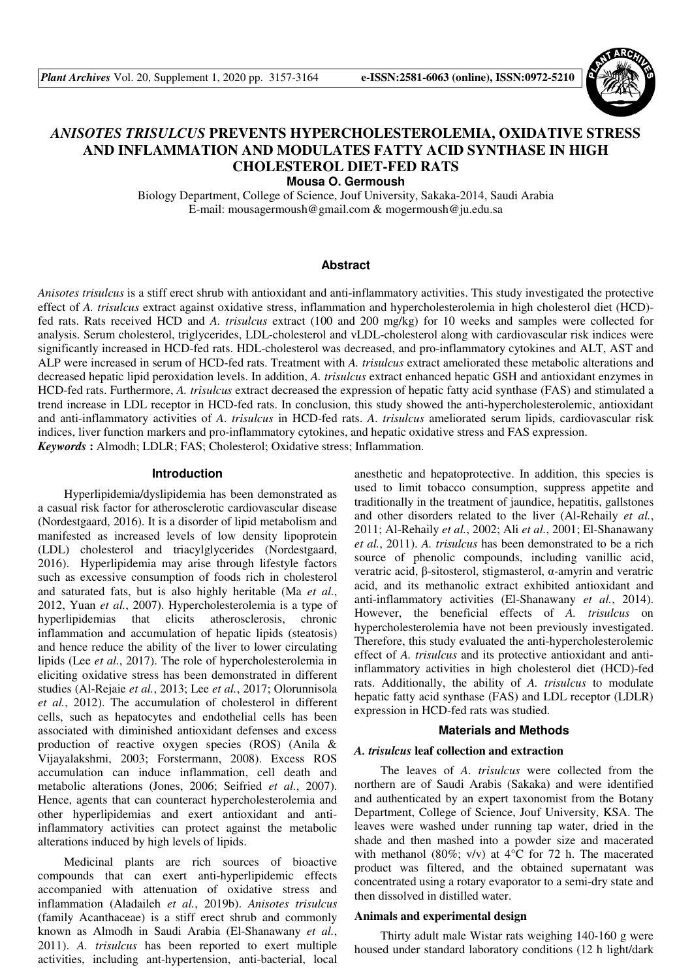

# *ANISOTES TRISULCUS* **PREVENTS HYPERCHOLESTEROLEMIA, OXIDATIVE STRESS AND INFLAMMATION AND MODULATES FATTY ACID SYNTHASE IN HIGH CHOLESTEROL DIET-FED RATS**

**Mousa O. Germoush** 

Biology Department, College of Science, Jouf University, Sakaka-2014, Saudi Arabia E-mail: mousagermoush@gmail.com & mogermoush@ju.edu.sa

### **Abstract**

*Anisotes trisulcus* is a stiff erect shrub with antioxidant and anti-inflammatory activities. This study investigated the protective effect of *A. trisulcus* extract against oxidative stress, inflammation and hypercholesterolemia in high cholesterol diet (HCD) fed rats. Rats received HCD and *A. trisulcus* extract (100 and 200 mg/kg) for 10 weeks and samples were collected for analysis. Serum cholesterol, triglycerides, LDL-cholesterol and vLDL-cholesterol along with cardiovascular risk indices were significantly increased in HCD-fed rats. HDL-cholesterol was decreased, and pro-inflammatory cytokines and ALT, AST and ALP were increased in serum of HCD-fed rats. Treatment with *A. trisulcus* extract ameliorated these metabolic alterations and decreased hepatic lipid peroxidation levels. In addition, *A. trisulcus* extract enhanced hepatic GSH and antioxidant enzymes in HCD-fed rats. Furthermore, *A. trisulcus* extract decreased the expression of hepatic fatty acid synthase (FAS) and stimulated a trend increase in LDL receptor in HCD-fed rats. In conclusion, this study showed the anti-hypercholesterolemic, antioxidant and anti-inflammatory activities of *A*. *trisulcus* in HCD-fed rats. *A*. *trisulcus* ameliorated serum lipids, cardiovascular risk indices, liver function markers and pro-inflammatory cytokines, and hepatic oxidative stress and FAS expression. *Keywords* **:** Almodh; LDLR; FAS; Cholesterol; Oxidative stress; Inflammation.

#### **Introduction**

Hyperlipidemia/dyslipidemia has been demonstrated as a casual risk factor for atherosclerotic cardiovascular disease (Nordestgaard, 2016). It is a disorder of lipid metabolism and manifested as increased levels of low density lipoprotein (LDL) cholesterol and triacylglycerides (Nordestgaard, 2016). Hyperlipidemia may arise through lifestyle factors such as excessive consumption of foods rich in cholesterol and saturated fats, but is also highly heritable (Ma *et al.*, 2012, Yuan *et al.*, 2007). Hypercholesterolemia is a type of hyperlipidemias that elicits atherosclerosis, chronic inflammation and accumulation of hepatic lipids (steatosis) and hence reduce the ability of the liver to lower circulating lipids (Lee *et al.*, 2017). The role of hypercholesterolemia in eliciting oxidative stress has been demonstrated in different studies (Al-Rejaie *et al.*, 2013; Lee *et al.*, 2017; Olorunnisola *et al.*, 2012). The accumulation of cholesterol in different cells, such as hepatocytes and endothelial cells has been associated with diminished antioxidant defenses and excess production of reactive oxygen species (ROS) (Anila & Vijayalakshmi, 2003; Forstermann, 2008). Excess ROS accumulation can induce inflammation, cell death and metabolic alterations (Jones, 2006; Seifried *et al.*, 2007). Hence, agents that can counteract hypercholesterolemia and other hyperlipidemias and exert antioxidant and antiinflammatory activities can protect against the metabolic alterations induced by high levels of lipids.

Medicinal plants are rich sources of bioactive compounds that can exert anti-hyperlipidemic effects accompanied with attenuation of oxidative stress and inflammation (Aladaileh *et al.*, 2019b). *Anisotes trisulcus* (family Acanthaceae) is a stiff erect shrub and commonly known as Almodh in Saudi Arabia (El-Shanawany *et al.*, 2011). *A. trisulcus* has been reported to exert multiple activities, including ant-hypertension, anti-bacterial, local anesthetic and hepatoprotective. In addition, this species is used to limit tobacco consumption, suppress appetite and traditionally in the treatment of jaundice, hepatitis, gallstones and other disorders related to the liver (Al-Rehaily *et al.*, 2011; Al-Rehaily *et al.*, 2002; Ali *et al.*, 2001; El-Shanawany *et al.*, 2011). *A. trisulcus* has been demonstrated to be a rich source of phenolic compounds, including vanillic acid, veratric acid, β-sitosterol, stigmasterol, α-amyrin and veratric acid, and its methanolic extract exhibited antioxidant and anti-inflammatory activities (El-Shanawany *et al.*, 2014). However, the beneficial effects of *A. trisulcus* on hypercholesterolemia have not been previously investigated. Therefore, this study evaluated the anti-hypercholesterolemic effect of *A. trisulcus* and its protective antioxidant and antiinflammatory activities in high cholesterol diet (HCD)-fed rats. Additionally, the ability of *A. trisulcus* to modulate hepatic fatty acid synthase (FAS) and LDL receptor (LDLR) expression in HCD-fed rats was studied.

#### **Materials and Methods**

#### *A. trisulcus* **leaf collection and extraction**

The leaves of *A*. *trisulcus* were collected from the northern are of Saudi Arabis (Sakaka) and were identified and authenticated by an expert taxonomist from the Botany Department, College of Science, Jouf University, KSA. The leaves were washed under running tap water, dried in the shade and then mashed into a powder size and macerated with methanol (80%; v/v) at  $4^{\circ}$ C for 72 h. The macerated product was filtered, and the obtained supernatant was concentrated using a rotary evaporator to a semi-dry state and then dissolved in distilled water.

#### **Animals and experimental design**

Thirty adult male Wistar rats weighing 140-160 g were housed under standard laboratory conditions (12 h light/dark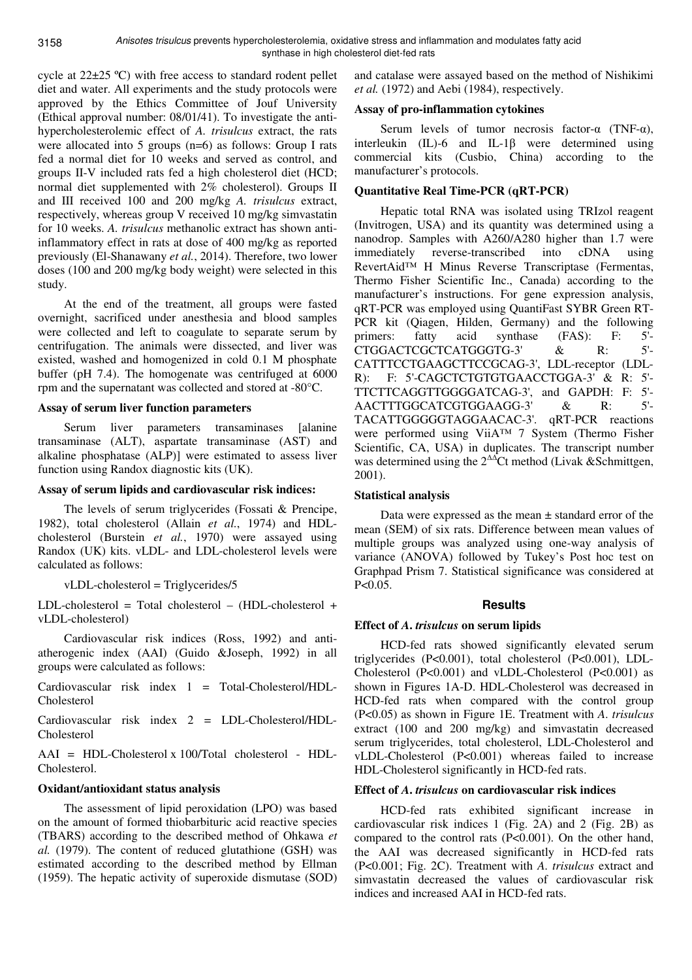3158

cycle at 22±25 ºC) with free access to standard rodent pellet diet and water. All experiments and the study protocols were approved by the Ethics Committee of Jouf University (Ethical approval number: 08/01/41). To investigate the antihypercholesterolemic effect of *A. trisulcus* extract, the rats were allocated into 5 groups (n=6) as follows: Group I rats fed a normal diet for 10 weeks and served as control, and groups II-V included rats fed a high cholesterol diet (HCD; normal diet supplemented with 2% cholesterol). Groups II and III received 100 and 200 mg/kg *A. trisulcus* extract, respectively, whereas group V received 10 mg/kg simvastatin for 10 weeks. *A. trisulcus* methanolic extract has shown antiinflammatory effect in rats at dose of 400 mg/kg as reported previously (El-Shanawany *et al.*, 2014). Therefore, two lower doses (100 and 200 mg/kg body weight) were selected in this study.

At the end of the treatment, all groups were fasted overnight, sacrificed under anesthesia and blood samples were collected and left to coagulate to separate serum by centrifugation. The animals were dissected, and liver was existed, washed and homogenized in cold 0.1 M phosphate buffer (pH 7.4). The homogenate was centrifuged at 6000 rpm and the supernatant was collected and stored at -80°C.

### **Assay of serum liver function parameters**

Serum liver parameters transaminases [alanine transaminase (ALT), aspartate transaminase (AST) and alkaline phosphatase (ALP)] were estimated to assess liver function using Randox diagnostic kits (UK).

### **Assay of serum lipids and cardiovascular risk indices:**

The levels of serum triglycerides (Fossati & Prencipe, 1982), total cholesterol (Allain *et al.*, 1974) and HDLcholesterol (Burstein *et al.*, 1970) were assayed using Randox (UK) kits. vLDL- and LDL-cholesterol levels were calculated as follows:

vLDL-cholesterol = Triglycerides/5

LDL-cholesterol = Total cholesterol – (HDL-cholesterol + vLDL-cholesterol)

Cardiovascular risk indices (Ross, 1992) and antiatherogenic index (AAI) (Guido &Joseph, 1992) in all groups were calculated as follows:

Cardiovascular risk index 1 = Total-Cholesterol/HDL-Cholesterol

Cardiovascular risk index 2 = LDL-Cholesterol/HDL-Cholesterol

AAI = HDL-Cholesterol x 100/Total cholesterol - HDL-Cholesterol.

# **Oxidant/antioxidant status analysis**

The assessment of lipid peroxidation (LPO) was based on the amount of formed thiobarbituric acid reactive species (TBARS) according to the described method of Ohkawa *et al.* (1979). The content of reduced glutathione (GSH) was estimated according to the described method by Ellman (1959). The hepatic activity of superoxide dismutase (SOD)

and catalase were assayed based on the method of Nishikimi *et al.* (1972) and Aebi (1984), respectively.

# **Assay of pro-inflammation cytokines**

Serum levels of tumor necrosis factor- $\alpha$  (TNF- $\alpha$ ), interleukin (IL)-6 and IL-1 $\beta$  were determined using commercial kits (Cusbio, China) according to the manufacturer's protocols.

# **Quantitative Real Time-PCR (qRT-PCR)**

Hepatic total RNA was isolated using TRIzol reagent (Invitrogen, USA) and its quantity was determined using a nanodrop. Samples with A260/A280 higher than 1.7 were immediately reverse-transcribed into cDNA using RevertAid™ H Minus Reverse Transcriptase (Fermentas, Thermo Fisher Scientific Inc., Canada) according to the manufacturer's instructions. For gene expression analysis, qRT-PCR was employed using QuantiFast SYBR Green RT-PCR kit (Qiagen, Hilden, Germany) and the following primers: fatty acid synthase (FAS): F: 5'-<br>CTGGACTCGCTCATGGGTG-3' & R: 5'-CTGGACTCGCTCATGGGTG-3' & R: CATTTCCTGAAGCTTCCGCAG-3', LDL-receptor (LDL-R): F: 5'-CAGCTCTGTGTGAACCTGGA-3' & R: 5'- TTCTTCAGGTTGGGGATCAG-3', and GAPDH: F: 5'- AACTTTGGCATCGTGGAAGG-3' & R: 5'- TACATTGGGGGTAGGAACAC-3'. qRT-PCR reactions were performed using ViiA™ 7 System (Thermo Fisher Scientific, CA, USA) in duplicates. The transcript number was determined using the  $2^{\Delta\Delta}$ Ct method (Livak &Schmittgen, 2001).

# **Statistical analysis**

Data were expressed as the mean  $\pm$  standard error of the mean (SEM) of six rats. Difference between mean values of multiple groups was analyzed using one-way analysis of variance (ANOVA) followed by Tukey's Post hoc test on Graphpad Prism 7. Statistical significance was considered at  $P < 0.05$ .

### **Results**

### **Effect of** *A***.** *trisulcus* **on serum lipids**

HCD-fed rats showed significantly elevated serum triglycerides (P<0.001), total cholesterol (P<0.001), LDL-Cholesterol (P<0.001) and vLDL-Cholesterol (P<0.001) as shown in Figures 1A-D. HDL-Cholesterol was decreased in HCD-fed rats when compared with the control group (P<0.05) as shown in Figure 1E. Treatment with *A*. *trisulcus*  extract (100 and 200 mg/kg) and simvastatin decreased serum triglycerides, total cholesterol, LDL-Cholesterol and vLDL-Cholesterol (P<0.001) whereas failed to increase HDL-Cholesterol significantly in HCD-fed rats.

### **Effect of** *A***.** *trisulcus* **on cardiovascular risk indices**

HCD-fed rats exhibited significant increase in cardiovascular risk indices 1 (Fig. 2A) and 2 (Fig. 2B) as compared to the control rats (P<0.001). On the other hand, the AAI was decreased significantly in HCD-fed rats (P<0.001; Fig. 2C). Treatment with *A*. *trisulcus* extract and simvastatin decreased the values of cardiovascular risk indices and increased AAI in HCD-fed rats.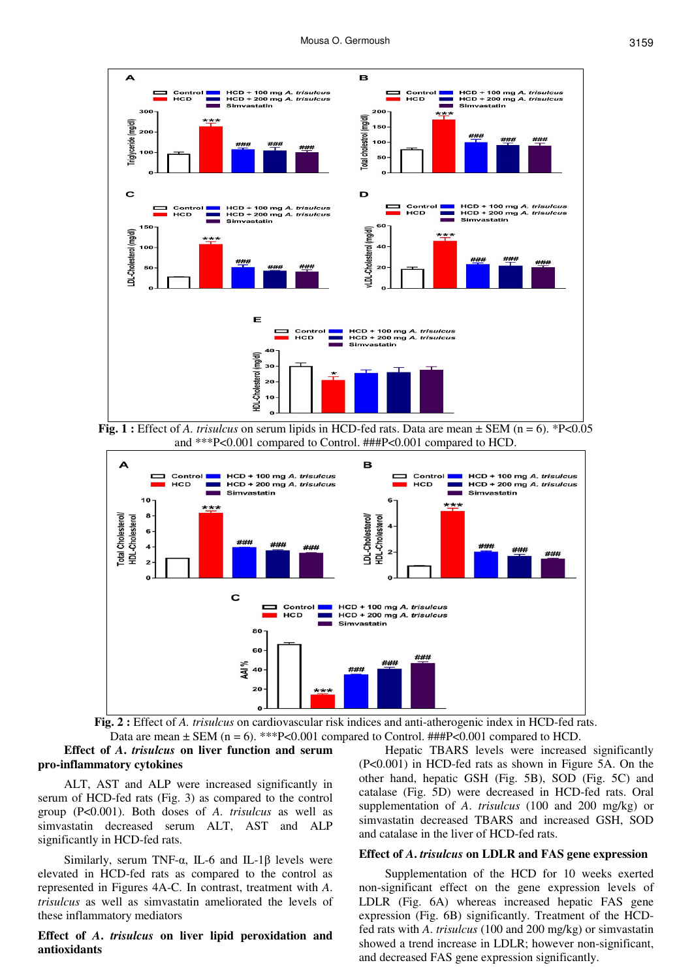

**Fig. 1 :** Effect of *A. trisulcus* on serum lipids in HCD-fed rats. Data are mean  $\pm$  SEM (n = 6). \*P<0.05 and \*\*\*P<0.001 compared to Control. ###P<0.001 compared to HCD.



**Fig. 2 :** Effect of *A. trisulcus* on cardiovascular risk indices and anti-atherogenic index in HCD-fed rats. Data are mean  $\pm$  SEM (n = 6). \*\*\*P<0.001 compared to Control. ###P<0.001 compared to HCD.

# **Effect of** *A***.** *trisulcus* **on liver function and serum pro-inflammatory cytokines**

ALT, AST and ALP were increased significantly in serum of HCD-fed rats (Fig. 3) as compared to the control group (P<0.001). Both doses of *A*. *trisulcus* as well as simvastatin decreased serum ALT, AST and ALP significantly in HCD-fed rats.

Similarly, serum TNF- $\alpha$ , IL-6 and IL-1 $\beta$  levels were elevated in HCD-fed rats as compared to the control as represented in Figures 4A-C. In contrast, treatment with *A*. *trisulcus* as well as simvastatin ameliorated the levels of these inflammatory mediators

#### **Effect of** *A***.** *trisulcus* **on liver lipid peroxidation and antioxidants**

Hepatic TBARS levels were increased significantly (P<0.001) in HCD-fed rats as shown in Figure 5A. On the other hand, hepatic GSH (Fig. 5B), SOD (Fig. 5C) and catalase (Fig. 5D) were decreased in HCD-fed rats. Oral supplementation of *A*. *trisulcus* (100 and 200 mg/kg) or simvastatin decreased TBARS and increased GSH, SOD and catalase in the liver of HCD-fed rats.

#### **Effect of** *A***.** *trisulcus* **on LDLR and FAS gene expression**

Supplementation of the HCD for 10 weeks exerted non-significant effect on the gene expression levels of LDLR (Fig. 6A) whereas increased hepatic FAS gene expression (Fig. 6B) significantly. Treatment of the HCDfed rats with *A*. *trisulcus* (100 and 200 mg/kg) or simvastatin showed a trend increase in LDLR; however non-significant, and decreased FAS gene expression significantly.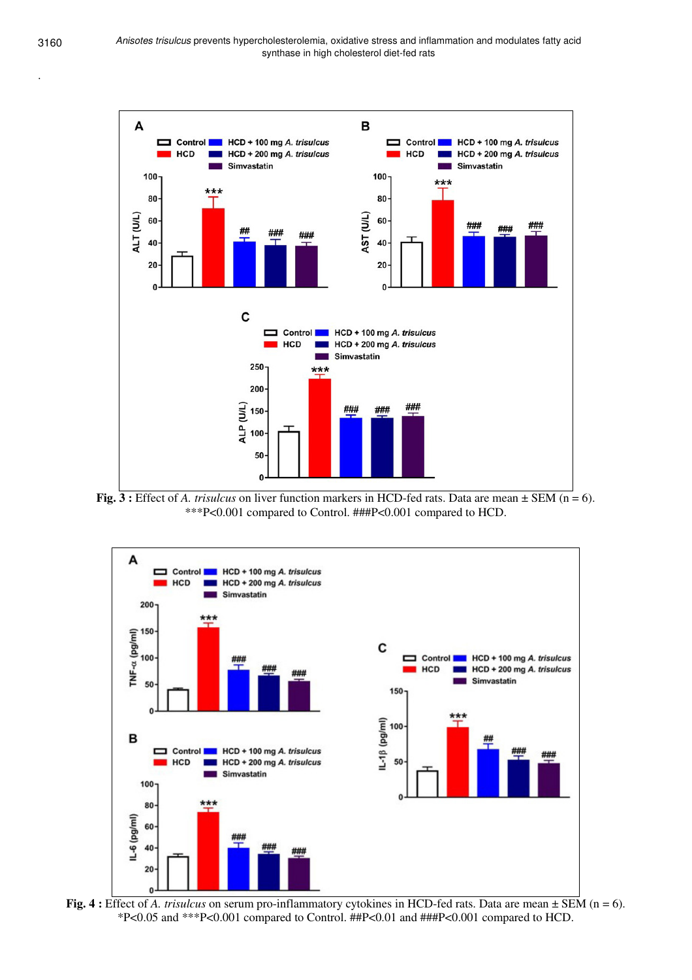.



**Fig. 3 :** Effect of *A. trisulcus* on liver function markers in HCD-fed rats. Data are mean ± SEM (n = 6). \*\*\*P<0.001 compared to Control. ###P<0.001 compared to HCD.



**Fig. 4 :** Effect of *A. trisulcus* on serum pro-inflammatory cytokines in HCD-fed rats. Data are mean ± SEM (n = 6). \*P<0.05 and \*\*\*P<0.001 compared to Control. ##P<0.01 and ###P<0.001 compared to HCD.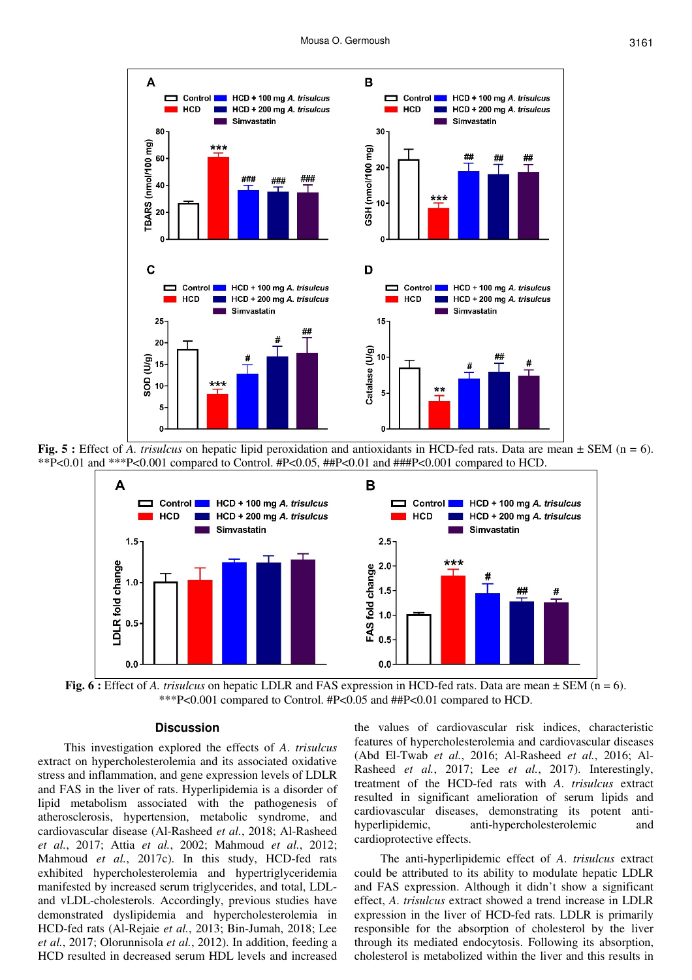

**Fig. 5 :** Effect of *A. trisulcus* on hepatic lipid peroxidation and antioxidants in HCD-fed rats. Data are mean ± SEM (n = 6). \*\*P<0.01 and \*\*\*P<0.001 compared to Control. #P<0.05, ##P<0.01 and ###P<0.001 compared to HCD.



**Fig. 6 :** Effect of *A. trisulcus* on hepatic LDLR and FAS expression in HCD-fed rats. Data are mean  $\pm$  SEM (n = 6). \*\*\*P<0.001 compared to Control. #P<0.05 and ##P<0.01 compared to HCD.

#### **Discussion**

This investigation explored the effects of *A*. *trisulcus*  extract on hypercholesterolemia and its associated oxidative stress and inflammation, and gene expression levels of LDLR and FAS in the liver of rats. Hyperlipidemia is a disorder of lipid metabolism associated with the pathogenesis of atherosclerosis, hypertension, metabolic syndrome, and cardiovascular disease (Al-Rasheed *et al.*, 2018; Al-Rasheed *et al.*, 2017; Attia *et al.*, 2002; Mahmoud *et al.*, 2012; Mahmoud *et al.*, 2017c). In this study, HCD-fed rats exhibited hypercholesterolemia and hypertriglyceridemia manifested by increased serum triglycerides, and total, LDLand vLDL-cholesterols. Accordingly, previous studies have demonstrated dyslipidemia and hypercholesterolemia in HCD-fed rats (Al-Rejaie *et al.*, 2013; Bin-Jumah, 2018; Lee *et al.*, 2017; Olorunnisola *et al.*, 2012). In addition, feeding a HCD resulted in decreased serum HDL levels and increased

the values of cardiovascular risk indices, characteristic features of hypercholesterolemia and cardiovascular diseases (Abd El-Twab *et al.*, 2016; Al-Rasheed *et al.*, 2016; Al-Rasheed *et al.*, 2017; Lee *et al.*, 2017). Interestingly, treatment of the HCD-fed rats with *A*. *trisulcus* extract resulted in significant amelioration of serum lipids and cardiovascular diseases, demonstrating its potent antihyperlipidemic, anti-hypercholesterolemic and cardioprotective effects.

The anti-hyperlipidemic effect of *A*. *trisulcus* extract could be attributed to its ability to modulate hepatic LDLR and FAS expression. Although it didn't show a significant effect, *A*. *trisulcus* extract showed a trend increase in LDLR expression in the liver of HCD-fed rats. LDLR is primarily responsible for the absorption of cholesterol by the liver through its mediated endocytosis. Following its absorption, cholesterol is metabolized within the liver and this results in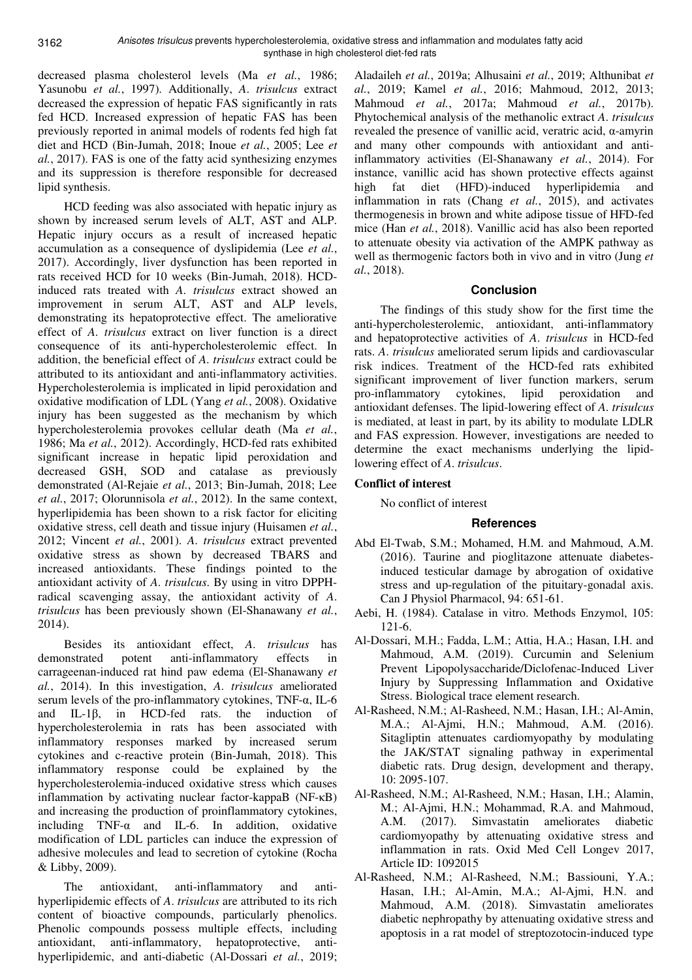decreased plasma cholesterol levels (Ma *et al.*, 1986; Yasunobu *et al.*, 1997). Additionally, *A*. *trisulcus* extract decreased the expression of hepatic FAS significantly in rats fed HCD. Increased expression of hepatic FAS has been previously reported in animal models of rodents fed high fat diet and HCD (Bin-Jumah, 2018; Inoue *et al.*, 2005; Lee *et al.*, 2017). FAS is one of the fatty acid synthesizing enzymes and its suppression is therefore responsible for decreased lipid synthesis.

HCD feeding was also associated with hepatic injury as shown by increased serum levels of ALT, AST and ALP. Hepatic injury occurs as a result of increased hepatic accumulation as a consequence of dyslipidemia (Lee *et al.*, 2017). Accordingly, liver dysfunction has been reported in rats received HCD for 10 weeks (Bin-Jumah, 2018). HCDinduced rats treated with *A*. *trisulcus* extract showed an improvement in serum ALT, AST and ALP levels, demonstrating its hepatoprotective effect. The ameliorative effect of *A*. *trisulcus* extract on liver function is a direct consequence of its anti-hypercholesterolemic effect. In addition, the beneficial effect of *A*. *trisulcus* extract could be attributed to its antioxidant and anti-inflammatory activities. Hypercholesterolemia is implicated in lipid peroxidation and oxidative modification of LDL (Yang *et al.*, 2008). Oxidative injury has been suggested as the mechanism by which hypercholesterolemia provokes cellular death (Ma *et al.*, 1986; Ma *et al.*, 2012). Accordingly, HCD-fed rats exhibited significant increase in hepatic lipid peroxidation and decreased GSH, SOD and catalase as previously demonstrated (Al-Rejaie *et al.*, 2013; Bin-Jumah, 2018; Lee *et al.*, 2017; Olorunnisola *et al.*, 2012). In the same context, hyperlipidemia has been shown to a risk factor for eliciting oxidative stress, cell death and tissue injury (Huisamen *et al.*, 2012; Vincent *et al.*, 2001). *A*. *trisulcus* extract prevented oxidative stress as shown by decreased TBARS and increased antioxidants. These findings pointed to the antioxidant activity of *A*. *trisulcus*. By using in vitro DPPHradical scavenging assay, the antioxidant activity of *A*. *trisulcus* has been previously shown (El-Shanawany *et al.*, 2014).

Besides its antioxidant effect, *A*. *trisulcus* has demonstrated potent anti-inflammatory effects in carrageenan-induced rat hind paw edema (El-Shanawany *et al.*, 2014). In this investigation, *A*. *trisulcus* ameliorated serum levels of the pro-inflammatory cytokines, TNF-α, IL-6 and IL-1β, in HCD-fed rats. the induction of hypercholesterolemia in rats has been associated with inflammatory responses marked by increased serum cytokines and c-reactive protein (Bin-Jumah, 2018). This inflammatory response could be explained by the hypercholesterolemia-induced oxidative stress which causes inflammation by activating nuclear factor-kappaB (NF-κB) and increasing the production of proinflammatory cytokines, including  $TNF-\alpha$  and IL-6. In addition, oxidative modification of LDL particles can induce the expression of adhesive molecules and lead to secretion of cytokine (Rocha & Libby, 2009).

The antioxidant, anti-inflammatory and antihyperlipidemic effects of *A*. *trisulcus* are attributed to its rich content of bioactive compounds, particularly phenolics. Phenolic compounds possess multiple effects, including antioxidant, anti-inflammatory, hepatoprotective, antihyperlipidemic, and anti-diabetic (Al-Dossari *et al.*, 2019;

Aladaileh *et al.*, 2019a; Alhusaini *et al.*, 2019; Althunibat *et al.*, 2019; Kamel *et al.*, 2016; Mahmoud, 2012, 2013; Mahmoud *et al.*, 2017a; Mahmoud *et al.*, 2017b). Phytochemical analysis of the methanolic extract *A*. *trisulcus* revealed the presence of vanillic acid, veratric acid, α-amyrin and many other compounds with antioxidant and antiinflammatory activities (El-Shanawany *et al.*, 2014). For instance, vanillic acid has shown protective effects against high fat diet (HFD)-induced hyperlipidemia and inflammation in rats (Chang *et al.*, 2015), and activates thermogenesis in brown and white adipose tissue of HFD-fed mice (Han *et al.*, 2018). Vanillic acid has also been reported to attenuate obesity via activation of the AMPK pathway as well as thermogenic factors both in vivo and in vitro (Jung *et al.*, 2018).

# **Conclusion**

The findings of this study show for the first time the anti-hypercholesterolemic, antioxidant, anti-inflammatory and hepatoprotective activities of *A*. *trisulcus* in HCD-fed rats. *A*. *trisulcus* ameliorated serum lipids and cardiovascular risk indices. Treatment of the HCD-fed rats exhibited significant improvement of liver function markers, serum pro-inflammatory cytokines, lipid peroxidation and antioxidant defenses. The lipid-lowering effect of *A*. *trisulcus* is mediated, at least in part, by its ability to modulate LDLR and FAS expression. However, investigations are needed to determine the exact mechanisms underlying the lipidlowering effect of *A*. *trisulcus*.

# **Conflict of interest**

No conflict of interest

### **References**

- Abd El-Twab, S.M.; Mohamed, H.M. and Mahmoud, A.M. (2016). Taurine and pioglitazone attenuate diabetesinduced testicular damage by abrogation of oxidative stress and up-regulation of the pituitary-gonadal axis. Can J Physiol Pharmacol, 94: 651-61.
- Aebi, H. (1984). Catalase in vitro. Methods Enzymol, 105: 121-6.
- Al-Dossari, M.H.; Fadda, L.M.; Attia, H.A.; Hasan, I.H. and Mahmoud, A.M. (2019). Curcumin and Selenium Prevent Lipopolysaccharide/Diclofenac-Induced Liver Injury by Suppressing Inflammation and Oxidative Stress. Biological trace element research.
- Al-Rasheed, N.M.; Al-Rasheed, N.M.; Hasan, I.H.; Al-Amin, M.A.; Al-Ajmi, H.N.; Mahmoud, A.M. (2016). Sitagliptin attenuates cardiomyopathy by modulating the JAK/STAT signaling pathway in experimental diabetic rats. Drug design, development and therapy, 10: 2095-107.
- Al-Rasheed, N.M.; Al-Rasheed, N.M.; Hasan, I.H.; Alamin, M.; Al-Ajmi, H.N.; Mohammad, R.A. and Mahmoud, A.M. (2017). Simvastatin ameliorates diabetic cardiomyopathy by attenuating oxidative stress and inflammation in rats. Oxid Med Cell Longev 2017, Article ID: 1092015
- Al-Rasheed, N.M.; Al-Rasheed, N.M.; Bassiouni, Y.A.; Hasan, I.H.; Al-Amin, M.A.; Al-Ajmi, H.N. and Mahmoud, A.M. (2018). Simvastatin ameliorates diabetic nephropathy by attenuating oxidative stress and apoptosis in a rat model of streptozotocin-induced type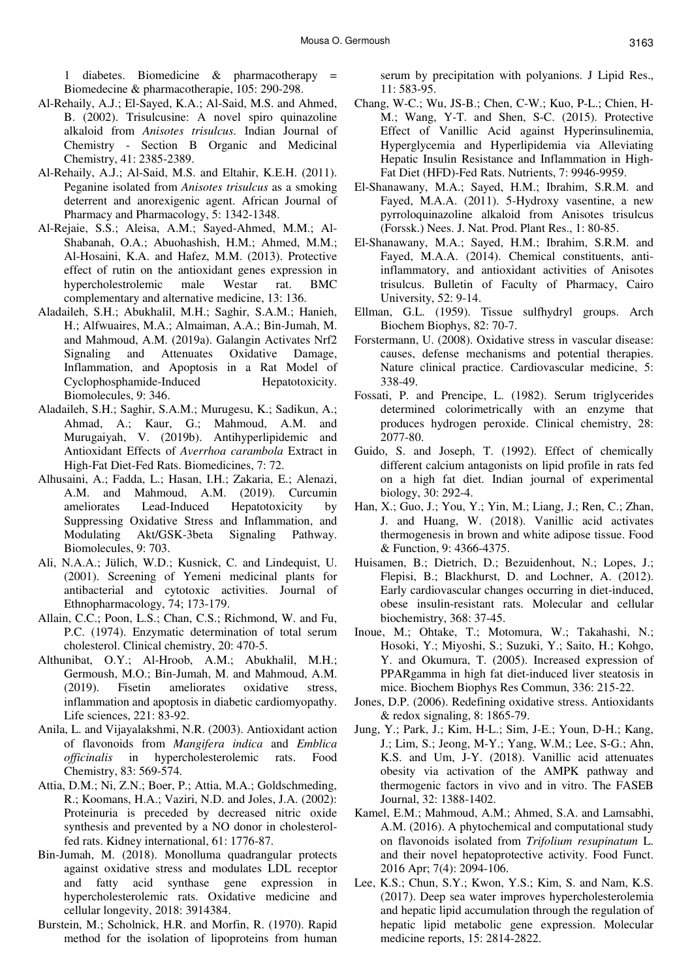1 diabetes. Biomedicine & pharmacotherapy = Biomedecine & pharmacotherapie, 105: 290-298.

- Al-Rehaily, A.J.; El-Sayed, K.A.; Al-Said, M.S. and Ahmed, B. (2002). Trisulcusine: A novel spiro quinazoline alkaloid from *Anisotes trisulcus*. Indian Journal of Chemistry - Section B Organic and Medicinal Chemistry, 41: 2385-2389.
- Al-Rehaily, A.J.; Al-Said, M.S. and Eltahir, K.E.H. (2011). Peganine isolated from *Anisotes trisulcus* as a smoking deterrent and anorexigenic agent. African Journal of Pharmacy and Pharmacology, 5: 1342-1348.
- Al-Rejaie, S.S.; Aleisa, A.M.; Sayed-Ahmed, M.M.; Al-Shabanah, O.A.; Abuohashish, H.M.; Ahmed, M.M.; Al-Hosaini, K.A. and Hafez, M.M. (2013). Protective effect of rutin on the antioxidant genes expression in hypercholestrolemic male Westar rat. BMC complementary and alternative medicine, 13: 136.
- Aladaileh, S.H.; Abukhalil, M.H.; Saghir, S.A.M.; Hanieh, H.; Alfwuaires, M.A.; Almaiman, A.A.; Bin-Jumah, M. and Mahmoud, A.M. (2019a). Galangin Activates Nrf2 Signaling and Attenuates Oxidative Damage, Inflammation, and Apoptosis in a Rat Model of Cyclophosphamide-Induced Hepatotoxicity. Biomolecules, 9: 346.
- Aladaileh, S.H.; Saghir, S.A.M.; Murugesu, K.; Sadikun, A.; Ahmad, A.; Kaur, G.; Mahmoud, A.M. and Murugaiyah, V. (2019b). Antihyperlipidemic and Antioxidant Effects of *Averrhoa carambola* Extract in High-Fat Diet-Fed Rats. Biomedicines, 7: 72.
- Alhusaini, A.; Fadda, L.; Hasan, I.H.; Zakaria, E.; Alenazi, A.M. and Mahmoud, A.M. (2019). Curcumin ameliorates Lead-Induced Hepatotoxicity by Suppressing Oxidative Stress and Inflammation, and Modulating Akt/GSK-3beta Signaling Pathway. Biomolecules, 9: 703.
- Ali, N.A.A.; Jülich, W.D.; Kusnick, C. and Lindequist, U. (2001). Screening of Yemeni medicinal plants for antibacterial and cytotoxic activities. Journal of Ethnopharmacology, 74; 173-179.
- Allain, C.C.; Poon, L.S.; Chan, C.S.; Richmond, W. and Fu, P.C. (1974). Enzymatic determination of total serum cholesterol. Clinical chemistry, 20: 470-5.
- Althunibat, O.Y.; Al-Hroob, A.M.; Abukhalil, M.H.; Germoush, M.O.; Bin-Jumah, M. and Mahmoud, A.M. (2019). Fisetin ameliorates oxidative stress, inflammation and apoptosis in diabetic cardiomyopathy. Life sciences, 221: 83-92.
- Anila, L. and Vijayalakshmi, N.R. (2003). Antioxidant action of flavonoids from *Mangifera indica* and *Emblica officinalis* in hypercholesterolemic rats. Food Chemistry, 83: 569-574.
- Attia, D.M.; Ni, Z.N.; Boer, P.; Attia, M.A.; Goldschmeding, R.; Koomans, H.A.; Vaziri, N.D. and Joles, J.A. (2002): Proteinuria is preceded by decreased nitric oxide synthesis and prevented by a NO donor in cholesterolfed rats. Kidney international, 61: 1776-87.
- Bin-Jumah, M. (2018). Monolluma quadrangular protects against oxidative stress and modulates LDL receptor and fatty acid synthase gene expression in hypercholesterolemic rats. Oxidative medicine and cellular longevity, 2018: 3914384.
- Burstein, M.; Scholnick, H.R. and Morfin, R. (1970). Rapid method for the isolation of lipoproteins from human

serum by precipitation with polyanions. J Lipid Res., 11: 583-95.

- Chang, W-C.; Wu, JS-B.; Chen, C-W.; Kuo, P-L.; Chien, H-M.; Wang, Y-T. and Shen, S-C. (2015). Protective Effect of Vanillic Acid against Hyperinsulinemia, Hyperglycemia and Hyperlipidemia via Alleviating Hepatic Insulin Resistance and Inflammation in High-Fat Diet (HFD)-Fed Rats. Nutrients, 7: 9946-9959.
- El-Shanawany, M.A.; Sayed, H.M.; Ibrahim, S.R.M. and Fayed, M.A.A. (2011). 5-Hydroxy vasentine, a new pyrroloquinazoline alkaloid from Anisotes trisulcus (Forssk.) Nees. J. Nat. Prod. Plant Res., 1: 80-85.
- El-Shanawany, M.A.; Sayed, H.M.; Ibrahim, S.R.M. and Fayed, M.A.A. (2014). Chemical constituents, antiinflammatory, and antioxidant activities of Anisotes trisulcus. Bulletin of Faculty of Pharmacy, Cairo University, 52: 9-14.
- Ellman, G.L. (1959). Tissue sulfhydryl groups. Arch Biochem Biophys, 82: 70-7.
- Forstermann, U. (2008). Oxidative stress in vascular disease: causes, defense mechanisms and potential therapies. Nature clinical practice. Cardiovascular medicine, 5: 338-49.
- Fossati, P. and Prencipe, L. (1982). Serum triglycerides determined colorimetrically with an enzyme that produces hydrogen peroxide. Clinical chemistry, 28: 2077-80.
- Guido, S. and Joseph, T. (1992). Effect of chemically different calcium antagonists on lipid profile in rats fed on a high fat diet. Indian journal of experimental biology, 30: 292-4.
- Han, X.; Guo, J.; You, Y.; Yin, M.; Liang, J.; Ren, C.; Zhan, J. and Huang, W. (2018). Vanillic acid activates thermogenesis in brown and white adipose tissue. Food & Function, 9: 4366-4375.
- Huisamen, B.; Dietrich, D.; Bezuidenhout, N.; Lopes, J.; Flepisi, B.; Blackhurst, D. and Lochner, A. (2012). Early cardiovascular changes occurring in diet-induced, obese insulin-resistant rats. Molecular and cellular biochemistry, 368: 37-45.
- Inoue, M.; Ohtake, T.; Motomura, W.; Takahashi, N.; Hosoki, Y.; Miyoshi, S.; Suzuki, Y.; Saito, H.; Kohgo, Y. and Okumura, T. (2005). Increased expression of PPARgamma in high fat diet-induced liver steatosis in mice. Biochem Biophys Res Commun, 336: 215-22.
- Jones, D.P. (2006). Redefining oxidative stress. Antioxidants & redox signaling, 8: 1865-79.
- Jung, Y.; Park, J.; Kim, H-L.; Sim, J-E.; Youn, D-H.; Kang, J.; Lim, S.; Jeong, M-Y.; Yang, W.M.; Lee, S-G.; Ahn, K.S. and Um, J-Y. (2018). Vanillic acid attenuates obesity via activation of the AMPK pathway and thermogenic factors in vivo and in vitro. The FASEB Journal, 32: 1388-1402.
- Kamel, E.M.; Mahmoud, A.M.; Ahmed, S.A. and Lamsabhi, A.M. (2016). A phytochemical and computational study on flavonoids isolated from *Trifolium resupinatum* L. and their novel hepatoprotective activity. Food Funct. 2016 Apr; 7(4): 2094-106.
- Lee, K.S.; Chun, S.Y.; Kwon, Y.S.; Kim, S. and Nam, K.S. (2017). Deep sea water improves hypercholesterolemia and hepatic lipid accumulation through the regulation of hepatic lipid metabolic gene expression. Molecular medicine reports, 15: 2814-2822.